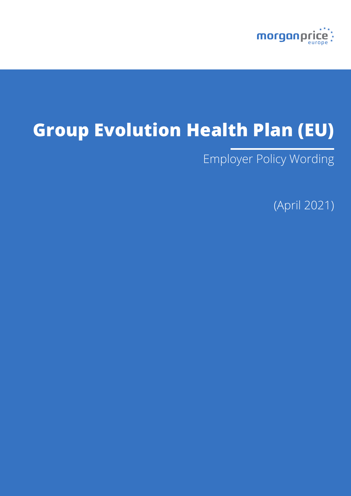

# **Group Evolution Health Plan (EU)**

Employer Policy Wording

(April 2021)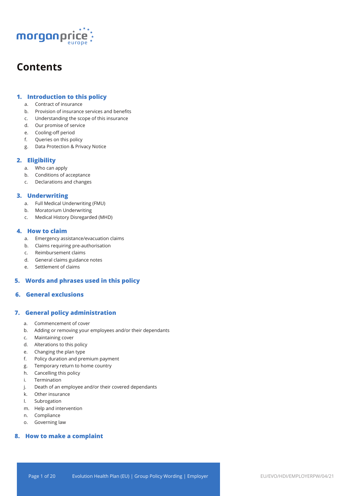

## **Contents**

## **1. Introduction to this policy**

- a. Contract of insurance
- b. Provision of insurance services and benefits
- c. Understanding the scope of this insurance
- d. Our promise of service
- e. Cooling-off period
- f. Queries on this policy
- g. Data Protection & Privacy Notice

## **2. Eligibility**

- a. Who can apply
- b. Conditions of acceptance
- c. Declarations and changes

## **3. Underwriting**

- a. Full Medical Underwriting (FMU)
- b. Moratorium Underwriting
- c. Medical History Disregarded (MHD)

## **4. How to claim**

- a. Emergency assistance/evacuation claims
- b. Claims requiring pre-authorisation
- c. Reimbursement claims
- d. General claims guidance notes
- e. Settlement of claims

## **5. Words and phrases used in this policy**

## **6. General exclusions**

## **7. General policy administration**

- a. Commencement of cover
- b. Adding or removing your employees and/or their dependants
- c. Maintaining cover
- d. Alterations to this policy
- e. Changing the plan type
- f. Policy duration and premium payment
- g. Temporary return to home country
- h. Cancelling this policy
- i. Termination
- j. Death of an employee and/or their covered dependants
- k. Other insurance
- l. Subrogation
- m. Help and intervention
- n. Compliance
- o. Governing law

## **8. How to make a complaint**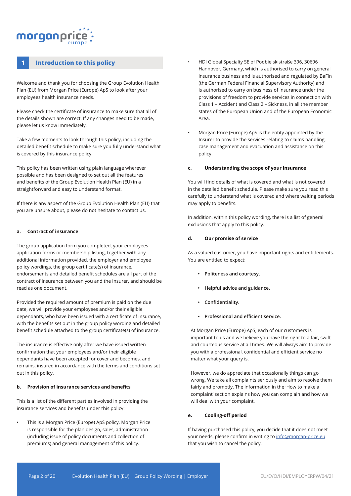## morganpri

## **1 Introduction to this policy**

Welcome and thank you for choosing the Group Evolution Health Plan (EU) from Morgan Price (Europe) ApS to look after your employees health insurance needs.

Please check the certificate of insurance to make sure that all of the details shown are correct. If any changes need to be made, please let us know immediately.

Take a few moments to look through this policy, including the detailed benefit schedule to make sure you fully understand what is covered by this insurance policy.

This policy has been written using plain language wherever possible and has been designed to set out all the features and benefits of the Group Evolution Health Plan (EU) in a straightforward and easy to understand format.

If there is any aspect of the Group Evolution Health Plan (EU) that you are unsure about, please do not hesitate to contact us.

#### **a. Contract of insurance**

The group application form you completed, your employees application forms or membership listing, together with any additional information provided, the employer and employee policy wordings, the group certificate(s) of insurance, endorsements and detailed benefit schedules are all part of the contract of insurance between you and the Insurer, and should be read as one document.

Provided the required amount of premium is paid on the due date, we will provide your employees and/or their eligible dependants, who have been issued with a certificate of insurance, with the benefits set out in the group policy wording and detailed benefit schedule attached to the group certificate(s) of insurance.

The insurance is effective only after we have issued written confirmation that your employees and/or their eligible dependants have been accepted for cover and becomes, and remains, insured in accordance with the terms and conditions set out in this policy.

#### **b. Provision of insurance services and benefits**

This is a list of the different parties involved in providing the insurance services and benefits under this policy:

• This is a Morgan Price (Europe) ApS policy. Morgan Price is responsible for the plan design, sales, administration (including issue of policy documents and collection of premiums) and general management of this policy.

- HDI Global Specialty SE of Podbielskistraße 396, 30696 Hannover, Germany, which is authorised to carry on general insurance business and is authorised and regulated by BaFin (the German Federal Financial Supervisory Authority) and is authorised to carry on business of insurance under the provisions of freedom to provide services in connection with Class 1 – Accident and Class 2 – Sickness, in all the member states of the European Union and of the European Economic Area.
- Morgan Price (Europe) ApS is the entity appointed by the Insurer to provide the services relating to claims handling, case management and evacuation and assistance on this policy.

#### **c. Understanding the scope of your insurance**

You will find details of what is covered and what is not covered in the detailed benefit schedule. Please make sure you read this carefully to understand what is covered and where waiting periods may apply to benefits.

In addition, within this policy wording, there is a list of general exclusions that apply to this policy.

#### **d. Our promise of service**

As a valued customer, you have important rights and entitlements. You are entitled to expect:

- **• Politeness and courtesy.**
- **• Helpful advice and guidance.**
- **• Confidentiality.**
- **• Professional and efficient service.**

At Morgan Price (Europe) ApS, each of our customers is important to us and we believe you have the right to a fair, swift and courteous service at all times. We will always aim to provide you with a professional, confidential and efficient service no matter what your query is.

However, we do appreciate that occasionally things can go wrong. We take all complaints seriously and aim to resolve them fairly and promptly. The information in the 'How to make a complaint' section explains how you can complain and how we will deal with your complaint.

#### **e. Cooling-off period**

If having purchased this policy, you decide that it does not meet your needs, please confirm in writing to info@morgan-price.eu that you wish to cancel the policy.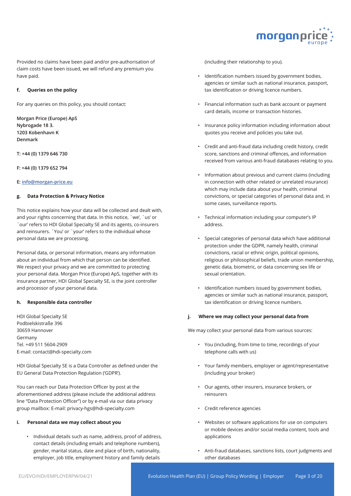

Provided no claims have been paid and/or pre-authorisation of claim costs have been issued, we will refund any premium you have paid.

#### **f. Queries on the policy**

For any queries on this policy, you should contact:

**Morgan Price (Europe) ApS Nybrogade 18 3. 1203 Kobenhavn K Denmark** 

**T: +44 (0) 1379 646 730** 

**F: +44 (0) 1379 652 794** 

#### **E: info@morgan-price.eu**

#### **g. Data Protection & Privacy Notice**

This notice explains how your data will be collected and dealt with, and your rights concerning that data. In this notice, `we', `us' or `our' refers to HDI Global Specialty SE and its agents, co-insurers and reinsurers. `You' or `your' refers to the individual whose personal data we are processing.

Personal data, or personal information, means any information about an individual from which that person can be identified. We respect your privacy and we are committed to protecting your personal data. Morgan Price (Europe) ApS, together with its insurance partner, HDI Global Specialty SE, is the joint controller and processor of your personal data.

#### **h. Responsible data controller**

HDI Global Specialty SE Podbielskistraße 396 30659 Hannover Germany Tel. +49 511 5604-2909 E-mail: contact@hdi-specialty.com

HDI Global Specialty SE is a Data Controller as defined under the EU General Data Protection Regulation ('GDPR').

You can reach our Data Protection Officer by post at the aforementioned address (please include the additional address line "Data Protection Officer") or by e-mail via our data privacy group mailbox: E-mail: privacy-hgs@hdi-specialty.com

#### **i. Personal data we may collect about you**

• Individual details such as name, address, proof of address, contact details (including emails and telephone numbers), gender, marital status, date and place of birth, nationality, employer, job title, employment history and family details

(including their relationship to you).

- Identification numbers issued by government bodies, agencies or similar such as national insurance, passport, tax identification or driving licence numbers.
- Financial information such as bank account or payment card details, income or transaction histories.
- Insurance policy information including information about quotes you receive and policies you take out.
- Credit and anti-fraud data including credit history, credit score, sanctions and criminal offences, and information received from various anti-fraud databases relating to you.
- Information about previous and current claims (including in connection with other related or unrelated insurance) which may include data about your health, criminal convictions, or special categories of personal data and, in some cases, surveillance reports.
- Technical information including your computer's IP address.
- Special categories of personal data which have additional protection under the GDPR, namely health, criminal convictions, racial or ethnic origin, political opinions, religious or philosophical beliefs, trade union membership, genetic data, biometric, or data concerning sex life or sexual orientation.
- Identification numbers issued by government bodies, agencies or similar such as national insurance, passport, tax identification or driving licence numbers.

#### **j. Where we may collect your personal data from**

We may collect your personal data from various sources:

- You (including, from time to time, recordings of your telephone calls with us)
- Your family members, employer or agent/representative (including your broker)
- Our agents, other insurers, insurance brokers, or reinsurers
- Credit reference agencies
- Websites or software applications for use on computers or mobile devices and/or social media content, tools and applications
- Anti-fraud databases, sanctions lists, court judgments and other databases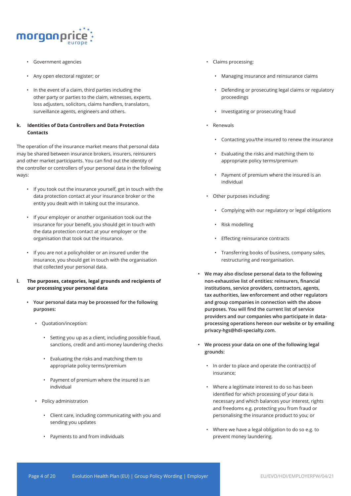

- Government agencies
- Any open electoral register; or
- In the event of a claim, third parties including the other party or parties to the claim, witnesses, experts, loss adjusters, solicitors, claims handlers, translators, surveillance agents, engineers and others.

## **k. Identities of Data Controllers and Data Protection Contacts**

The operation of the insurance market means that personal data may be shared between insurance brokers, insurers, reinsurers and other market participants. You can find out the identity of the controller or controllers of your personal data in the following ways:

- If you took out the insurance yourself, get in touch with the data protection contact at your insurance broker or the entity you dealt with in taking out the insurance.
- If your employer or another organisation took out the insurance for your benefit, you should get in touch with the data protection contact at your employer or the organisation that took out the insurance.
- If you are not a policyholder or an insured under the insurance, you should get in touch with the organisation that collected your personal data.
- **l. The purposes, categories, legal grounds and recipients of our processing your personal data**
	- **• Your personal data may be processed for the following purposes:** 
		- Quotation/inception:
			- Setting you up as a client, including possible fraud, sanctions, credit and anti-money laundering checks
			- Evaluating the risks and matching them to appropriate policy terms/premium
			- Payment of premium where the insured is an individual
		- Policy administration
			- Client care, including communicating with you and sending you updates
			- Payments to and from individuals
- Claims processing:
	- Managing insurance and reinsurance claims
	- Defending or prosecuting legal claims or regulatory proceedings
	- Investigating or prosecuting fraud
- Renewals
	- Contacting you/the insured to renew the insurance
	- Evaluating the risks and matching them to appropriate policy terms/premium
	- Payment of premium where the insured is an individual
- Other purposes including:
	- Complying with our regulatory or legal obligations
	- Risk modelling
	- Effecting reinsurance contracts
	- Transferring books of business, company sales, restructuring and reorganisation.
- **• We may also disclose personal data to the following non-exhaustive list of entities: reinsurers, financial institutions, service providers, contractors, agents, tax authorities, law enforcement and other regulators and group companies in connection with the above purposes. You will find the current list of service providers and our companies who participate in dataprocessing operations hereon our website or by emailing privacy-hgs@hdi-specialty.com.**
- **• We process your data on one of the following legal grounds:**
	- In order to place and operate the contract(s) of insurance;
	- Where a legitimate interest to do so has been identified for which processing of your data is necessary and which balances your interest, rights and freedoms e.g. protecting you from fraud or personalising the insurance product to you; or
	- Where we have a legal obligation to do so e.g. to prevent money laundering.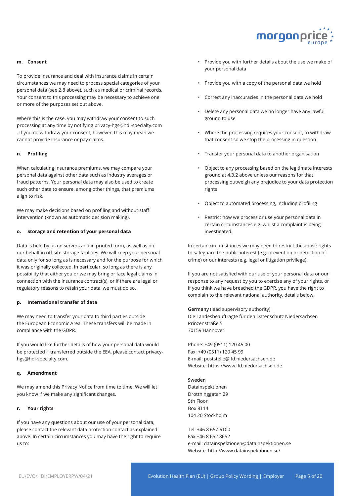

#### **m. Consent**

To provide insurance and deal with insurance claims in certain circumstances we may need to process special categories of your personal data (see 2.8 above), such as medical or criminal records. Your consent to this processing may be necessary to achieve one or more of the purposes set out above.

Where this is the case, you may withdraw your consent to such processing at any time by notifying privacy-hgs@hdi-specialty.com . If you do withdraw your consent, however, this may mean we cannot provide insurance or pay claims.

#### **n. Profiling**

When calculating insurance premiums, we may compare your personal data against other data such as industry averages or fraud patterns. Your personal data may also be used to create such other data to ensure, among other things, that premiums align to risk.

We may make decisions based on profiling and without staff intervention (known as automatic decision making).

#### **o. Storage and retention of your personal data**

Data is held by us on servers and in printed form, as well as on our behalf in off-site storage facilities. We will keep your personal data only for so long as is necessary and for the purpose for which it was originally collected. In particular, so long as there is any possibility that either you or we may bring or face legal claims in connection with the insurance contract(s), or if there are legal or regulatory reasons to retain your data, we must do so.

#### **p. International transfer of data**

We may need to transfer your data to third parties outside the European Economic Area. These transfers will be made in compliance with the GDPR.

If you would like further details of how your personal data would be protected if transferred outside the EEA, please contact privacyhgs@hdi-specialty.com.

#### **q. Amendment**

We may amend this Privacy Notice from time to time. We will let you know if we make any significant changes.

#### **r. Your rights**

If you have any questions about our use of your personal data, please contact the relevant data protection contact as explained above. In certain circumstances you may have the right to require us to:

- Provide you with further details about the use we make of your personal data
- Provide you with a copy of the personal data we hold
- Correct any inaccuracies in the personal data we hold
- Delete any personal data we no longer have any lawful ground to use
- Where the processing requires your consent, to withdraw that consent so we stop the processing in question
- Transfer your personal data to another organisation
- Object to any processing based on the legitimate interests ground at 4.3.2 above unless our reasons for that processing outweigh any prejudice to your data protection rights
- Object to automated processing, including profiling
- Restrict how we process or use your personal data in certain circumstances e.g. whilst a complaint is being investigated.

In certain circumstances we may need to restrict the above rights to safeguard the public interest (e.g. prevention or detection of crime) or our interests (e.g. legal or litigation privilege).

If you are not satisfied with our use of your personal data or our response to any request by you to exercise any of your rights, or if you think we have breached the GDPR, you have the right to complain to the relevant national authority, details below.

**Germany** (lead supervisory authority) Die Landesbeauftragte für den Datenschutz Niedersachsen Prinzenstraße 5 30159 Hannover

Phone: +49 (0511) 120 45 00 Fax: +49 (0511) 120 45 99 E-mail: poststelle@lfd.niedersachsen.de Website: https://www.lfd.niedersachsen.de

#### **Sweden**

Datainspektionen Drottninggatan 29 5th Floor Box 8114 104 20 Stockholm

Tel. +46 8 657 6100 Fax +46 8 652 8652 e-mail: datainspektionen@datainspektionen.se Website: http://www.datainspektionen.se/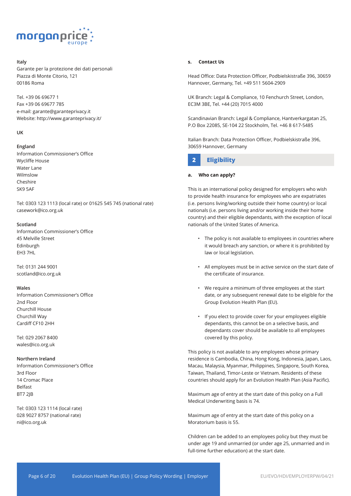

## **Italy**

Garante per la protezione dei dati personali Piazza di Monte Citorio, 121 00186 Roma

Tel. +39 06 69677 1 Fax +39 06 69677 785 e-mail: garante@garanteprivacy.it Website: http://www.garanteprivacy.it/

#### **UK**

#### **England**

Information Commissioner's Office Wycliffe House Water Lane Wilmslow Cheshire SK9 5AF

Tel: 0303 123 1113 (local rate) or 01625 545 745 (national rate) casework@ico.org.uk

#### **Scotland**

Information Commissioner's Office 45 Melville Street Edinburgh EH3 7HL

Tel: 0131 244 9001 scotland@ico.org.uk

#### **Wales**

Information Commissioner's Office 2nd Floor Churchill House Churchill Way Cardiff CF10 2HH

Tel: 029 2067 8400 wales@ico.org.uk

#### **Northern Ireland**

Information Commissioner's Office 3rd Floor 14 Cromac Place Belfast BT7 2JB

Tel: 0303 123 1114 (local rate) 028 9027 8757 (national rate) ni@ico.org.uk

#### **s. Contact Us**

Head Office: Data Protection Officer, Podbielskistraße 396, 30659 Hannover, Germany, Tel. +49 511 5604-2909

UK Branch: Legal & Compliance, 10 Fenchurch Street, London, EC3M 3BE, Tel. +44 (20) 7015 4000

Scandinavian Branch: Legal & Compliance, Hantverkargatan 25, P.O Box 22085, SE-104 22 Stockholm, Tel. +46 8 617-5485

Italian Branch: Data Protection Officer, Podbielskistraße 396, 30659 Hannover, Germany



#### **a. Who can apply?**

This is an international policy designed for employers who wish to provide health insurance for employees who are expatriates (i.e. persons living/working outside their home country) or local nationals (i.e. persons living and/or working inside their home country) and their eligible dependants, with the exception of local nationals of the United States of America.

- The policy is not available to employees in countries where it would breach any sanction, or where it is prohibited by law or local legislation.
- All employees must be in active service on the start date of the certificate of insurance.
- We require a minimum of three employees at the start date, or any subsequent renewal date to be eligible for the Group Evolution Health Plan (EU).
- If you elect to provide cover for your employees eligible dependants, this cannot be on a selective basis, and dependants cover should be available to all employees covered by this policy.

This policy is not available to any employees whose primary residence is Cambodia, China, Hong Kong, Indonesia, Japan, Laos, Macau, Malaysia, Myanmar, Philippines, Singapore, South Korea, Taiwan, Thailand, Timor-Leste or Vietnam. Residents of these countries should apply for an Evolution Health Plan (Asia Pacific).

Maximum age of entry at the start date of this policy on a Full Medical Underwriting basis is 74.

Maximum age of entry at the start date of this policy on a Moratorium basis is 55.

Children can be added to an employees policy but they must be under age 19 and unmarried (or under age 25, unmarried and in full-time further education) at the start date.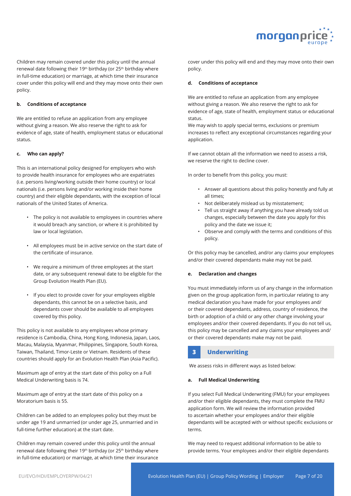

Children may remain covered under this policy until the annual renewal date following their 19<sup>th</sup> birthday (or 25<sup>th</sup> birthday where in full-time education) or marriage, at which time their insurance cover under this policy will end and they may move onto their own policy.

#### **b. Conditions of acceptance**

We are entitled to refuse an application from any employee without giving a reason. We also reserve the right to ask for evidence of age, state of health, employment status or educational status.

#### **c. Who can apply?**

This is an international policy designed for employers who wish to provide health insurance for employees who are expatriates (i.e. persons living/working outside their home country) or local nationals (i.e. persons living and/or working inside their home country) and their eligible dependants, with the exception of local nationals of the United States of America.

- The policy is not available to employees in countries where it would breach any sanction, or where it is prohibited by law or local legislation.
- All employees must be in active service on the start date of the certificate of insurance.
- We require a minimum of three employees at the start date, or any subsequent renewal date to be eligible for the Group Evolution Health Plan (EU).
- If you elect to provide cover for your employees eligible dependants, this cannot be on a selective basis, and dependants cover should be available to all employees covered by this policy.

This policy is not available to any employees whose primary residence is Cambodia, China, Hong Kong, Indonesia, Japan, Laos, Macau, Malaysia, Myanmar, Philippines, Singapore, South Korea, Taiwan, Thailand, Timor-Leste or Vietnam. Residents of these countries should apply for an Evolution Health Plan (Asia Pacific).

Maximum age of entry at the start date of this policy on a Full Medical Underwriting basis is 74.

Maximum age of entry at the start date of this policy on a Moratorium basis is 55.

Children can be added to an employees policy but they must be under age 19 and unmarried (or under age 25, unmarried and in full-time further education) at the start date.

Children may remain covered under this policy until the annual renewal date following their 19<sup>th</sup> birthday (or 25<sup>th</sup> birthday where in full-time education) or marriage, at which time their insurance

cover under this policy will end and they may move onto their own policy.

#### **d. Conditions of acceptance**

We are entitled to refuse an application from any employee without giving a reason. We also reserve the right to ask for evidence of age, state of health, employment status or educational status.

We may wish to apply special terms, exclusions or premium increases to reflect any exceptional circumstances regarding your application.

If we cannot obtain all the information we need to assess a risk, we reserve the right to decline cover.

In order to benefit from this policy, you must:

- Answer all questions about this policy honestly and fully at all times;
- Not deliberately mislead us by misstatement;
- Tell us straight away if anything you have already told us changes, especially between the date you apply for this policy and the date we issue it;
- Observe and comply with the terms and conditions of this policy.

Or this policy may be cancelled, and/or any claims your employees and/or their covered dependants make may not be paid.

## **e. Declaration and changes**

You must immediately inform us of any change in the information given on the group application form, in particular relating to any medical declaration you have made for your employees and/ or their covered dependants, address, country of residence, the birth or adoption of a child or any other change involving your employees and/or their covered dependants. If you do not tell us, this policy may be cancelled and any claims your employees and/ or their covered dependants make may not be paid.

## **3 Underwriting**

We assess risks in different ways as listed below:

#### **a. Full Medical Underwriting**

If you select Full Medical Underwriting (FMU) for your employees and/or their eligible dependants, they must complete the FMU application form. We will review the information provided to ascertain whether your employees and/or their eligible dependants will be accepted with or without specific exclusions or terms.

We may need to request additional information to be able to provide terms. Your employees and/or their eligible dependants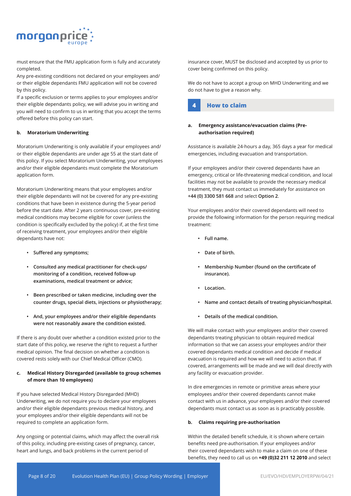

must ensure that the FMU application form is fully and accurately completed.

Any pre-existing conditions not declared on your employees and/ or their eligible dependants FMU application will not be covered by this policy.

If a specific exclusion or terms applies to your employees and/or their eligible dependants policy, we will advise you in writing and you will need to confirm to us in writing that you accept the terms offered before this policy can start.

#### **b. Moratorium Underwriting**

Moratorium Underwriting is only available if your employees and/ or their eligible dependants are under age 55 at the start date of this policy. If you select Moratorium Underwriting, your employees and/or their eligible dependants must complete the Moratorium application form.

Moratorium Underwriting means that your employees and/or their eligible dependants will not be covered for any pre-existing conditions that have been in existence during the 5-year period before the start date. After 2 years continuous cover, pre-existing medical conditions may become eligible for cover (unless the condition is specifically excluded by the policy) if, at the first time of receiving treatment, your employees and/or their eligible dependants have not:

- **• Suffered any symptoms;**
- **• Consulted any medical practitioner for check-ups/ monitoring of a condition, received follow-up examinations, medical treatment or advice;**
- **• Been prescribed or taken medicine, including over the counter drugs, special diets, injections or physiotherapy;**
- **• And, your employees and/or their eligible dependants were not reasonably aware the condition existed.**

If there is any doubt over whether a condition existed prior to the start date of this policy, we reserve the right to request a further medical opinion. The final decision on whether a condition is covered rests solely with our Chief Medical Officer (CMO).

## **c. Medical History Disregarded (available to group schemes of more than 10 employees)**

If you have selected Medical History Disregarded (MHD) Underwriting, we do not require you to declare your employees and/or their eligible dependants previous medical history, and your employees and/or their eligible dependants will not be required to complete an application form.

Any ongoing or potential claims, which may affect the overall risk of this policy, including pre-existing cases of pregnancy, cancer, heart and lungs, and back problems in the current period of

insurance cover, MUST be disclosed and accepted by us prior to cover being confirmed on this policy.

We do not have to accept a group on MHD Underwriting and we do not have to give a reason why.



## **a. Emergency assistance/evacuation claims (Preauthorisation required)**

Assistance is available 24-hours a day, 365 days a year for medical emergencies, including evacuation and transportation.

If your employees and/or their covered dependants have an emergency, critical or life-threatening medical condition, and local facilities may not be available to provide the necessary medical treatment, they must contact us immediately for assistance on **+44 (0) 3300 581 668** and select **Option 2**.

Your employees and/or their covered dependants will need to provide the following information for the person requiring medical treatment:

- **• Full name.**
- **• Date of birth.**
- **• Membership Number (found on the certificate of insurance).**
- **• Location.**
- **• Name and contact details of treating physician/hospital.**
- **• Details of the medical condition.**

We will make contact with your employees and/or their covered dependants treating physician to obtain required medical information so that we can assess your employees and/or their covered dependants medical condition and decide if medical evacuation is required and how we will need to action that. If covered, arrangements will be made and we will deal directly with any facility or evacuation provider.

In dire emergencies in remote or primitive areas where your employees and/or their covered dependants cannot make contact with us in advance, your employees and/or their covered dependants must contact us as soon as is practicably possible.

#### **b. Claims requiring pre-authorisation**

Within the detailed benefit schedule, it is shown where certain benefits need pre-authorisation. If your employees and/or their covered dependants wish to make a claim on one of these benefits, they need to call us on **+49 (0)32 211 12 2010** and select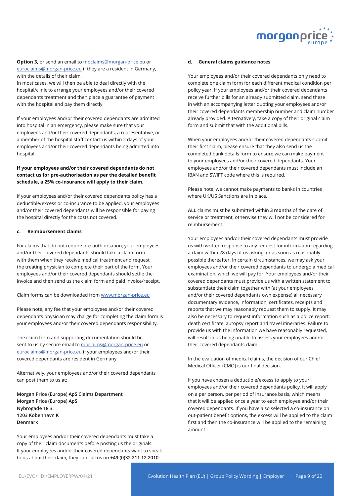

**Option 3,** or send an email to mpclaims@morgan-price.eu or euroclaims@morgan-price.eu if they are a resident in Germany, with the details of their claim.

In most cases, we will then be able to deal directly with the hospital/clinic to arrange your employees and/or their covered dependants treatment and then place a guarantee of payment with the hospital and pay them directly.

If your employees and/or their covered dependants are admitted into hospital in an emergency, please make sure that your employees and/or their covered dependants, a representative, or a member of the hospital staff contact us within 2 days of your employees and/or their covered dependants being admitted into hospital.

## **If your employees and/or their covered dependants do not contact us for pre-authorisation as per the detailed benefit schedule, a 25% co-insurance will apply to their claim.**

If your employees and/or their covered dependants policy has a deductible/excess or co-insurance to be applied, your employees and/or their covered dependants will be responsible for paying the hospital directly for the costs not covered.

#### **c. Reimbursement claims**

For claims that do not require pre-authorisation, your employees and/or their covered dependants should take a claim form with them when they receive medical treatment and request the treating physician to complete their part of the form. Your employees and/or their covered dependants should settle the invoice and then send us the claim form and paid invoice/receipt.

Claim forms can be downloaded from www.morgan-price.eu

Please note, any fee that your employees and/or their covered dependants physician may charge for completing the claim form is your employees and/or their covered dependants responsibility.

The claim form and supporting documentation should be sent to us by secure email to mpclaims@morgan-price.eu or euroclaims@morgan-price.eu if your employees and/or their covered dependants are resident in Germany.

Alternatively, your employees and/or their covered dependants can post them to us at:

**Morgan Price (Europe) ApS Claims Department Morgan Price (Europe) ApS Nybrogade 18 3. 1203 Kobenhavn K Denmark** 

Your employees and/or their covered dependants must take a copy of their claim documents before posting us the originals. If your employees and/or their covered dependants want to speak to us about their claim, they can call us on **+49 (0)32 211 12 2010.**

#### **d. General claims guidance notes**

Your employees and/or their covered dependants only need to complete one claim form for each different medical condition per policy year. If your employees and/or their covered dependants receive further bills for an already submitted claim, send these in with an accompanying letter quoting your employees and/or their covered dependants membership number and claim number already provided. Alternatively, take a copy of their original claim form and submit that with the additional bills.

When your employees and/or their covered dependants submit their first claim, please ensure that they also send us the completed bank details form to ensure we can make payment to your employees and/or their covered dependants. Your employees and/or their covered dependants must include an IBAN and SWIFT code where this is required.

Please note, we cannot make payments to banks in countries where UK/US Sanctions are in place.

**ALL** claims must be submitted within **3 months** of the date of service or treatment, otherwise they will not be considered for reimbursement.

Your employees and/or their covered dependants must provide us with written response to any request for information regarding a claim within 28 days of us asking, or as soon as reasonably possible thereafter. In certain circumstances, we may ask your employees and/or their covered dependants to undergo a medical examination, which we will pay for. Your employees and/or their covered dependants must provide us with a written statement to substantiate their claim together with (at your employees and/or their covered dependants own expense) all necessary documentary evidence, information, certificates, receipts and reports that we may reasonably request them to supply. It may also be necessary to request information such as a police report, death certificate, autopsy report and travel itineraries. Failure to provide us with the information we have reasonably requested, will result in us being unable to assess your employees and/or their covered dependants claim.

In the evaluation of medical claims, the decision of our Chief Medical Officer (CMO) is our final decision.

If you have chosen a deductible/excess to apply to your employees and/or their covered dependants policy, it will apply on a per person, per period of insurance basis, which means that it will be applied once a year to each employee and/or their covered dependants. If you have also selected a co-insurance on out-patient benefit options, the excess will be applied to the claim first and then the co-insurance will be applied to the remaining amount.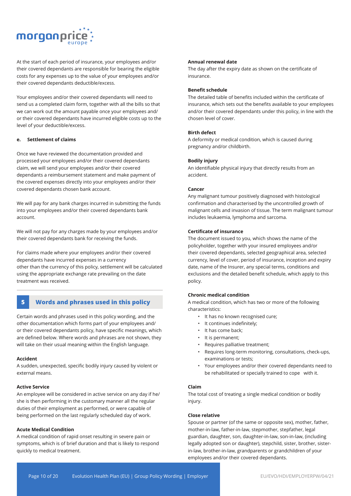

At the start of each period of insurance, your employees and/or their covered dependants are responsible for bearing the eligible costs for any expenses up to the value of your employees and/or their covered dependants deductible/excess.

Your employees and/or their covered dependants will need to send us a completed claim form, together with all the bills so that we can work out the amount payable once your employees and/ or their covered dependants have incurred eligible costs up to the level of your deductible/excess.

## **e. Settlement of claims**

Once we have reviewed the documentation provided and processed your employees and/or their covered dependants claim, we will send your employees and/or their covered dependants a reimbursement statement and make payment of the covered expenses directly into your employees and/or their covered dependants chosen bank account.

We will pay for any bank charges incurred in submitting the funds into your employees and/or their covered dependants bank account.

We will not pay for any charges made by your employees and/or their covered dependants bank for receiving the funds.

For claims made where your employees and/or their covered dependants have incurred expenses in a currency other than the currency of this policy, settlement will be calculated using the appropriate exchange rate prevailing on the date treatment was received.

## **5 Words and phrases used in this policy**

Certain words and phrases used in this policy wording, and the other documentation which forms part of your employees and/ or their covered dependants policy, have specific meanings, which are defined below. Where words and phrases are not shown, they will take on their usual meaning within the English language.

#### **Accident**

A sudden, unexpected, specific bodily injury caused by violent or external means.

#### **Active Service**

An employee will be considered in active service on any day if he/ she is then performing in the customary manner all the regular duties of their employment as performed, or were capable of being performed on the last regularly scheduled day of work.

## **Acute Medical Condition**

A medical condition of rapid onset resulting in severe pain or symptoms, which is of brief duration and that is likely to respond quickly to medical treatment.

## **Annual renewal date**

The day after the expiry date as shown on the certificate of insurance.

#### **Benefit schedule**

The detailed table of benefits included within the certificate of insurance, which sets out the benefits available to your employees and/or their covered dependants under this policy, in line with the chosen level of cover.

#### **Birth defect**

A deformity or medical condition, which is caused during pregnancy and/or childbirth.

#### **Bodily injury**

An identifiable physical injury that directly results from an accident.

#### **Cancer**

Any malignant tumour positively diagnosed with histological confirmation and characterised by the uncontrolled growth of malignant cells and invasion of tissue. The term malignant tumour includes leukaemia, lymphoma and sarcoma.

#### **Certificate of insurance**

The document issued to you, which shows the name of the policyholder, together with your insured employees and/or their covered dependants, selected geographical area, selected currency, level of cover, period of insurance, inception and expiry date, name of the Insurer, any special terms, conditions and exclusions and the detailed benefit schedule, which apply to this policy.

## **Chronic medical condition**

A medical condition, which has two or more of the following characteristics:

- It has no known recognised cure;
- It continues indefinitely;
- It has come back;
- It is permanent;
- Requires palliative treatment;
- Requires long-term monitoring, consultations, check-ups, examinations or tests;
- Your employees and/or their covered dependants need to be rehabilitated or specially trained to cope with it.

#### **Claim**

The total cost of treating a single medical condition or bodily injury.

#### **Close relative**

Spouse or partner (of the same or opposite sex), mother, father, mother-in-law, father-in-law, stepmother, stepfather, legal guardian, daughter, son, daughter-in-law, son-in-law, (including legally adopted son or daughter), stepchild, sister, brother, sisterin-law, brother-in-law, grandparents or grandchildren of your employees and/or their covered dependants.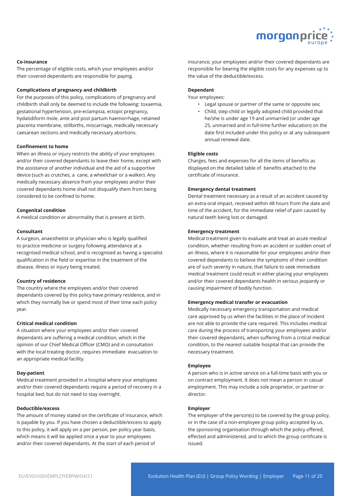

## **Co-insurance**

The percentage of eligible costs, which your employees and/or their covered dependants are responsible for paying.

#### **Complications of pregnancy and childbirth**

For the purposes of this policy, complications of pregnancy and childbirth shall only be deemed to include the following: toxaemia, gestational hypertension, pre-eclampsia, ectopic pregnancy, hydatidiform mole, ante and post partum haemorrhage, retained placenta membrane, stillbirths, miscarriage, medically necessary caesarean sections and medically necessary abortions.

#### **Confinement to home**

When an illness or injury restricts the ability of your employees and/or their covered dependants to leave their home, except with the assistance of another individual and the aid of a supportive device (such as crutches, a cane, a wheelchair or a walker). Any medically necessary absence from your employees and/or their covered dependants home shall not disqualify them from being considered to be confined to home.

#### **Congenital condition**

A medical condition or abnormality that is present at birth.

#### **Consultant**

A surgeon, anaesthetist or physician who is legally qualified to practice medicine or surgery following attendance at a recognised medical school, and is recognised as having a specialist qualification in the field or expertise in the treatment of the disease, illness or injury being treated.

#### **Country of residence**

The country where the employees and/or their covered dependants covered by this policy have primary residence, and in which they normally live or spend most of their time each policy year.

#### **Critical medical condition**

A situation where your employees and/or their covered dependants are suffering a medical condition, which in the opinion of our Chief Medical Officer (CMO) and in consultation with the local treating doctor, requires immediate evacuation to an appropriate medical facility.

#### **Day-patient**

Medical treatment provided in a hospital where your employees and/or their covered dependants require a period of recovery in a hospital bed, but do not need to stay overnight.

#### **Deductible/excess**

The amount of money stated on the certificate of insurance, which is payable by you. If you have chosen a deductible/excess to apply to this policy, it will apply on a per person, per policy year basis, which means it will be applied once a year to your employees and/or their covered dependants. At the start of each period of

insurance, your employees and/or their covered dependants are responsible for bearing the eligible costs for any expenses up to the value of the deductible/excess.

#### **Dependant**

Your employees:

- Legal spouse or partner of the same or opposite sex;
- Child, step-child or legally adopted child provided that he/she is under age 19 and unmarried (or under age 25, unmarried and in full-time further education) on the date first included under this policy or at any subsequent annual renewal date.

#### **Eligible costs**

Charges, fees and expenses for all the items of benefits as displayed on the detailed table of benefits attached to the certificate of insurance.

#### **Emergency dental treatment**

Dental treatment necessary as a result of an accident caused by an extra-oral impact, received within 48 hours from the date and time of the accident, for the immediate relief of pain caused by natural teeth being lost or damaged.

#### **Emergency treatment**

Medical treatment given to evaluate and treat an acute medical condition, whether resulting from an accident or sudden onset of an illness, where it is reasonable for your employees and/or their covered dependants to believe the symptoms of their condition are of such severity in nature, that failure to seek immediate medical treatment could result in either placing your employees and/or their covered dependants health in serious jeopardy or causing impairment of bodily function.

#### **Emergency medical transfer or evacuation**

Medically necessary emergency transportation and medical care approved by us when the facilities in the place of incident are not able to provide the care required. This includes medical care during the process of transporting your employees and/or their covered dependants, when suffering from a critical medical condition, to the nearest suitable hospital that can provide the necessary treatment.

#### **Employee**

A person who is in active service on a full-time basis with you or on contract employment. It does not mean a person in casual employment. This may include a sole proprietor, or partner or director.

#### **Employer**

The employer of the person(s) to be covered by the group policy, or in the case of a non-employee group policy accepted by us, the sponsoring organisation through which the policy offered, effected and administered, and to which the group certificate is issued.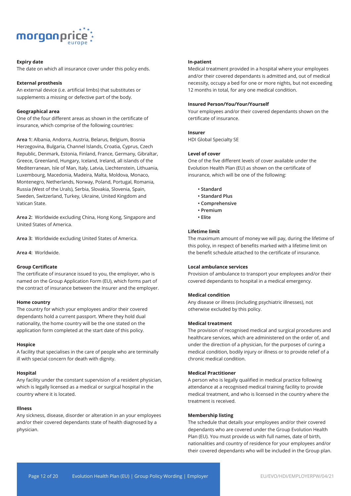

#### **Expiry date**

The date on which all insurance cover under this policy ends.

#### **External prosthesis**

An external device (i.e. artificial limbs) that substitutes or supplements a missing or defective part of the body.

#### **Geographical area**

One of the four different areas as shown in the certificate of insurance, which comprise of the following countries:

**Area 1:** Albania, Andorra, Austria, Belarus, Belgium, Bosnia Herzegovina, Bulgaria, Channel Islands, Croatia, Cyprus, Czech Republic, Denmark, Estonia, Finland, France, Germany, Gibraltar, Greece, Greenland, Hungary, Iceland, Ireland, all islands of the Mediterranean, Isle of Man, Italy, Latvia, Liechtenstein, Lithuania, Luxembourg, Macedonia, Madeira, Malta, Moldova, Monaco, Montenegro, Netherlands, Norway, Poland, Portugal, Romania, Russia (West of the Urals), Serbia, Slovakia, Slovenia, Spain, Sweden, Switzerland, Turkey, Ukraine, United Kingdom and Vatican State.

**Area 2:** Worldwide excluding China, Hong Kong, Singapore and United States of America.

**Area 3:** Worldwide excluding United States of America.

**Area 4:** Worldwide.

## **Group Certificate**

The certificate of insurance issued to you, the employer, who is named on the Group Application Form (EU), which forms part of the contract of insurance between the Insurer and the employer.

#### **Home country**

The country for which your employees and/or their covered dependants hold a current passport. Where they hold dual nationality, the home country will be the one stated on the application form completed at the start date of this policy.

#### **Hospice**

A facility that specialises in the care of people who are terminally ill with special concern for death with dignity.

#### **Hospital**

Any facility under the constant supervision of a resident physician, which is legally licensed as a medical or surgical hospital in the country where it is located.

#### **Illness**

Any sickness, disease, disorder or alteration in an your employees and/or their covered dependants state of health diagnosed by a physician.

#### **In-patient**

Medical treatment provided in a hospital where your employees and/or their covered dependants is admitted and, out of medical necessity, occupy a bed for one or more nights, but not exceeding 12 months in total, for any one medical condition.

#### **Insured Person/You/Your/Yourself**

Your employees and/or their covered dependants shown on the certificate of insurance.

#### **Insurer**

HDI Global Specialty SE

#### **Level of cover**

One of the five different levels of cover available under the Evolution Health Plan (EU) as shown on the certificate of insurance, which will be one of the following:

- **Standard**
- **Standard Plus**
- **Comprehensive**
- **Premium**
- **Elite**

#### **Lifetime limit**

The maximum amount of money we will pay, during the lifetime of this policy, in respect of benefits marked with a lifetime limit on the benefit schedule attached to the certificate of insurance.

## **Local ambulance services**

Provision of ambulance to transport your employees and/or their covered dependants to hospital in a medical emergency.

#### **Medical condition**

Any disease or illness (including psychiatric illnesses), not otherwise excluded by this policy.

#### **Medical treatment**

The provision of recognised medical and surgical procedures and healthcare services, which are administered on the order of, and under the direction of a physician, for the purposes of curing a medical condition, bodily injury or illness or to provide relief of a chronic medical condition.

#### **Medical Practitioner**

A person who is legally qualified in medical practice following attendance at a recognised medical training facility to provide medical treatment, and who is licensed in the country where the treatment is received.

#### **Membership listing**

The schedule that details your employees and/or their covered dependants who are covered under the Group Evolution Health Plan (EU). You must provide us with full names, date of birth, nationalities and country of residence for your employees and/or their covered dependants who will be included in the Group plan.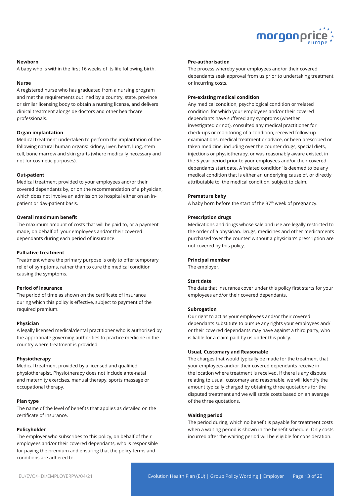

#### **Newborn**

A baby who is within the first 16 weeks of its life following birth.

#### **Nurse**

A registered nurse who has graduated from a nursing program and met the requirements outlined by a country, state, province or similar licensing body to obtain a nursing license, and delivers clinical treatment alongside doctors and other healthcare professionals.

#### **Organ implantation**

Medical treatment undertaken to perform the implantation of the following natural human organs: kidney, liver, heart, lung, stem cell, bone marrow and skin grafts (where medically necessary and not for cosmetic purposes).

#### **Out-patient**

Medical treatment provided to your employees and/or their covered dependants by, or on the recommendation of a physician, which does not involve an admission to hospital either on an inpatient or day-patient basis.

## **Overall maximum benefit**

The maximum amount of costs that will be paid to, or a payment made, on behalf of your employees and/or their covered dependants during each period of insurance.

#### **Palliative treatment**

Treatment where the primary purpose is only to offer temporary relief of symptoms, rather than to cure the medical condition causing the symptoms.

#### **Period of insurance**

The period of time as shown on the certificate of insurance during which this policy is effective, subject to payment of the required premium.

#### **Physician**

A legally licensed medical/dental practitioner who is authorised by the appropriate governing authorities to practice medicine in the country where treatment is provided.

#### **Physiotherapy**

Medical treatment provided by a licensed and qualified physiotherapist. Physiotherapy does not include ante-natal and maternity exercises, manual therapy, sports massage or occupational therapy.

#### **Plan type**

The name of the level of benefits that applies as detailed on the certificate of insurance.

#### **Policyholder**

The employer who subscribes to this policy, on behalf of their employees and/or their covered dependants, who is responsible for paying the premium and ensuring that the policy terms and conditions are adhered to.

#### **Pre-authorisation**

The process whereby your employees and/or their covered dependants seek approval from us prior to undertaking treatment or incurring costs.

#### **Pre-existing medical condition**

Any medical condition, psychological condition or 'related condition' for which your employees and/or their covered dependants have suffered any symptoms (whether investigated or not), consulted any medical practitioner for check-ups or monitoring of a condition, received follow-up examinations, medical treatment or advice, or been prescribed or taken medicine, including over the counter drugs, special diets, injections or physiotherapy, or was reasonably aware existed, in the 5-year period prior to your employees and/or their covered dependants start date. A 'related condition' is deemed to be any medical condition that is either an underlying cause of, or directly attributable to, the medical condition, subject to claim.

#### **Premature baby**

A baby born before the start of the 37<sup>th</sup> week of pregnancy.

#### **Prescription drugs**

Medications and drugs whose sale and use are legally restricted to the order of a physician. Drugs, medicines and other medicaments purchased 'over the counter' without a physician's prescription are not covered by this policy.

#### **Principal member**

The employer.

## **Start date**

The date that insurance cover under this policy first starts for your employees and/or their covered dependants.

#### **Subrogation**

Our right to act as your employees and/or their covered dependants substitute to pursue any rights your employees and/ or their covered dependants may have against a third party, who is liable for a claim paid by us under this policy.

#### **Usual, Customary and Reasonable**

The charges that would typically be made for the treatment that your employees and/or their covered dependants receive in the location where treatment is received. If there is any dispute relating to usual, customary and reasonable, we will identify the amount typically charged by obtaining three quotations for the disputed treatment and we will settle costs based on an average of the three quotations.

#### **Waiting period**

The period during, which no benefit is payable for treatment costs when a waiting period is shown in the benefit schedule. Only costs incurred after the waiting period will be eligible for consideration.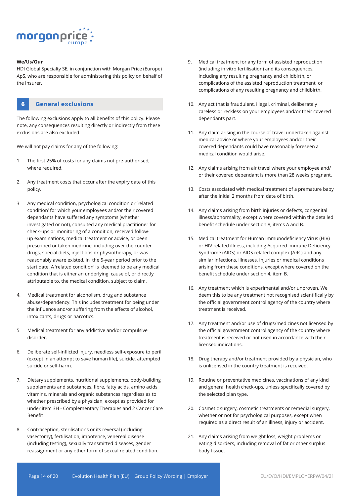

#### **We/Us/Our**

HDI Global Specialty SE, in conjunction with Morgan Price (Europe) ApS, who are responsible for administering this policy on behalf of the Insurer.



The following exclusions apply to all benefits of this policy. Please note, any consequences resulting directly or indirectly from these exclusions are also excluded.

We will not pay claims for any of the following:

- 1. The first 25% of costs for any claims not pre-authorised, where required.
- 2. Any treatment costs that occur after the expiry date of this policy.
- 3. Any medical condition, psychological condition or 'related condition' for which your employees and/or their covered dependants have suffered any symptoms (whether investigated or not), consulted any medical practitioner for check-ups or monitoring of a condition, received followup examinations, medical treatment or advice, or been prescribed or taken medicine, including over the counter drugs, special diets, injections or physiotherapy, or was reasonably aware existed, in the 5-year period prior to the start date. A 'related condition' is deemed to be any medical condition that is either an underlying cause of, or directly attributable to, the medical condition, subject to claim.
- 4. Medical treatment for alcoholism, drug and substance abuse/dependency. This includes treatment for being under the influence and/or suffering from the effects of alcohol, intoxicants, drugs or narcotics.
- 5. Medical treatment for any addictive and/or compulsive disorder.
- 6. Deliberate self-inflicted injury, needless self-exposure to peril (except in an attempt to save human life), suicide, attempted suicide or self-harm.
- 7. Dietary supplements, nutritional supplements, body-building supplements and substances, fibre, fatty acids, amino acids, vitamins, minerals and organic substances regardless as to whether prescribed by a physician, except as provided for under item 3H - Complementary Therapies and 2 Cancer Care Benefit
- 8. Contraception, sterilisations or its reversal (including vasectomy), fertilisation, impotence, venereal disease (including testing), sexually transmitted diseases, gender reassignment or any other form of sexual related condition.
- 9. Medical treatment for any form of assisted reproduction (including in vitro fertilisation) and its consequences, including any resulting pregnancy and childbirth, or complications of the assisted reproduction treatment, or complications of any resulting pregnancy and childbirth.
- 10. Any act that is fraudulent, illegal, criminal, deliberately careless or reckless on your employees and/or their covered dependants part.
- 11. Any claim arising in the course of travel undertaken against medical advice or where your employees and/or their covered dependants could have reasonably foreseen a medical condition would arise.
- 12. Any claims arising from air travel where your employee and/ or their covered dependant is more than 28 weeks pregnant.
- 13. Costs associated with medical treatment of a premature baby after the initial 2 months from date of birth.
- 14. Any claims arising from birth injuries or defects, congenital illness/abnormality, except where covered within the detailed benefit schedule under section 8, items A and B.
- 15. Medical treatment for Human Immunodeficiency Virus (HIV) or HIV related illness, including Acquired Immune Deficiency Syndrome (AIDS) or AIDS related complex (ARC) and any similar infections, illnesses, injuries or medical conditions arising from these conditions, except where covered on the benefit schedule under section 4, item B.
- 16. Any treatment which is experimental and/or unproven. We deem this to be any treatment not recognised scientifically by the official government control agency of the country where treatment is received.
- 17. Any treatment and/or use of drugs/medicines not licensed by the official government control agency of the country where treatment is received or not used in accordance with their licensed indications.
- 18. Drug therapy and/or treatment provided by a physician, who is unlicensed in the country treatment is received.
- 19. Routine or preventative medicines, vaccinations of any kind and general health check-ups, unless specifically covered by the selected plan type.
- 20. Cosmetic surgery, cosmetic treatments or remedial surgery, whether or not for psychological purposes, except when required as a direct result of an illness, injury or accident.
- 21. Any claims arising from weight loss, weight problems or eating disorders, including removal of fat or other surplus body tissue.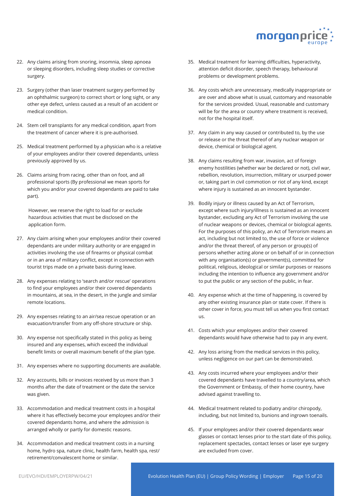

- 22. Any claims arising from snoring, insomnia, sleep apnoea or sleeping disorders, including sleep studies or corrective surgery.
- 23. Surgery (other than laser treatment surgery performed by an ophthalmic surgeon) to correct short or long sight, or any other eye defect, unless caused as a result of an accident or medical condition.
- 24. Stem cell transplants for any medical condition, apart from the treatment of cancer where it is pre-authorised.
- 25. Medical treatment performed by a physician who is a relative of your employees and/or their covered dependants, unless previously approved by us.
- 26. Claims arising from racing, other than on foot, and all professional sports (By professional we mean sports for which you and/or your covered dependants are paid to take part).

However, we reserve the right to load for or exclude hazardous activities that must be disclosed on the application form.

- 27. Any claim arising when your employees and/or their covered dependants are under military authority or are engaged in activities involving the use of firearms or physical combat or in an area of military conflict, except in connection with tourist trips made on a private basis during leave.
- 28. Any expenses relating to 'search and/or rescue' operations to find your employees and/or their covered dependants in mountains, at sea, in the desert, in the jungle and similar remote locations.
- 29. Any expenses relating to an air/sea rescue operation or an evacuation/transfer from any off-shore structure or ship.
- 30. Any expense not specifically stated in this policy as being insured and any expenses, which exceed the individual benefit limits or overall maximum benefit of the plan type.
- 31. Any expenses where no supporting documents are available.
- 32. Any accounts, bills or invoices received by us more than 3 months after the date of treatment or the date the service was given.
- 33. Accommodation and medical treatment costs in a hospital where it has effectively become your employees and/or their covered dependants home, and where the admission is arranged wholly or partly for domestic reasons.
- 34. Accommodation and medical treatment costs in a nursing home, hydro spa, nature clinic, health farm, health spa, rest/ retirement/convalescent home or similar.
- 35. Medical treatment for learning difficulties, hyperactivity, attention deficit disorder, speech therapy, behavioural problems or development problems.
- 36. Any costs which are unnecessary, medically inappropriate or are over and above what is usual, customary and reasonable for the services provided. Usual, reasonable and customary will be for the area or country where treatment is received, not for the hospital itself.
- 37. Any claim in any way caused or contributed to, by the use or release or the threat thereof of any nuclear weapon or device, chemical or biological agent.
- 38. Any claims resulting from war, invasion, act of foreign enemy hostilities (whether war be declared or not), civil war, rebellion, revolution, insurrection, military or usurped power or, taking part in civil commotion or riot of any kind, except where injury is sustained as an innocent bystander.
- 39. Bodily injury or illness caused by an Act of Terrorism, except where such injury/illness is sustained as an innocent bystander, excluding any Act of Terrorism involving the use of nuclear weapons or devices, chemical or biological agents. For the purposes of this policy, an Act of Terrorism means an act, including but not limited to, the use of force or violence and/or the threat thereof, of any person or group(s) of persons whether acting alone or on behalf of or in connection with any organisation(s) or government(s), committed for political, religious, ideological or similar purposes or reasons including the intention to influence any government and/or to put the public or any section of the public, in fear.
- 40. Any expense which at the time of happening, is covered by any other existing insurance plan or state cover. If there is other cover in force, you must tell us when you first contact us.
- 41. Costs which your employees and/or their covered dependants would have otherwise had to pay in any event.
- 42. Any loss arising from the medical services in this policy, unless negligence on our part can be demonstrated.
- 43. Any costs incurred where your employees and/or their covered dependants have travelled to a country/area, which the Government or Embassy, of their home country, have advised against travelling to.
- 44. Medical treatment related to podiatry and/or chiropody, including, but not limited to, bunions and ingrown toenails.
- 45. If your employees and/or their covered dependants wear glasses or contact lenses prior to the start date of this policy, replacement spectacles, contact lenses or laser eye surgery are excluded from cover.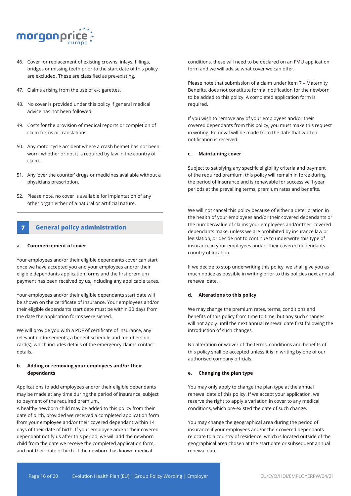

- 46. Cover for replacement of existing crowns, inlays, fillings, bridges or missing teeth prior to the start date of this policy are excluded. These are classified as pre-existing.
- 47. Claims arising from the use of e-cigarettes.
- 48. No cover is provided under this policy if general medical advice has not been followed.
- 49. Costs for the provision of medical reports or completion of claim forms or translations.
- 50. Any motorcycle accident where a crash helmet has not been worn, whether or not it is required by law in the country of claim.
- 51. Any 'over the counter' drugs or medicines available without a physicians prescription.
- 52. Please note, no cover is available for implantation of any other organ either of a natural or artificial nature.

## **7 General policy administration**

#### **a. Commencement of cover**

Your employees and/or their eligible dependants cover can start once we have accepted you and your employees and/or their eligible dependants application forms and the first premium payment has been received by us, including any applicable taxes.

Your employees and/or their eligible dependants start date will be shown on the certificate of insurance. Your employees and/or their eligible dependants start date must be within 30 days from the date the application forms were signed.

We will provide you with a PDF of certificate of insurance, any relevant endorsements, a benefit schedule and membership card(s), which includes details of the emergency claims contact details.

## **b. Adding or removing your employees and/or their dependants**

Applications to add employees and/or their eligible dependants may be made at any time during the period of insurance, subject to payment of the required premium.

A healthy newborn child may be added to this policy from their date of birth, provided we received a completed application form from your employee and/or their covered dependant within 14 days of their date of birth. If your employee and/or their covered dependant notify us after this period, we will add the newborn child from the date we receive the completed application form, and not their date of birth. If the newborn has known medical

conditions, these will need to be declared on an FMU application form and we will advise what cover we can offer.

Please note that submission of a claim under item 7 – Maternity Benefits, does not constitute formal notification for the newborn to be added to this policy. A completed application form is required.

If you wish to remove any of your employees and/or their covered dependants from this policy, you must make this request in writing. Removal will be made from the date that written notification is received.

#### **c. Maintaining cover**

Subject to satisfying any specific eligibility criteria and payment of the required premium, this policy will remain in force during the period of insurance and is renewable for successive 1-year periods at the prevailing terms, premium rates and benefits.

We will not cancel this policy because of either a deterioration in the health of your employees and/or their covered dependants or the number/value of claims your employees and/or their covered dependants make, unless we are prohibited by insurance law or legislation, or decide not to continue to underwrite this type of insurance in your employees and/or their covered dependants country of location.

If we decide to stop underwriting this policy, we shall give you as much notice as possible in writing prior to this policies next annual renewal date.

#### **d. Alterations to this policy**

We may change the premium rates, terms, conditions and benefits of this policy from time to time, but any such changes will not apply until the next annual renewal date first following the introduction of such changes.

No alteration or waiver of the terms, conditions and benefits of this policy shall be accepted unless it is in writing by one of our authorised company officials.

#### **e. Changing the plan type**

You may only apply to change the plan type at the annual renewal date of this policy. If we accept your application, we reserve the right to apply a variation in cover to any medical conditions, which pre-existed the date of such change.

You may change the geographical area during the period of insurance if your employees and/or their covered dependants relocate to a country of residence, which is located outside of the geographical area chosen at the start date or subsequent annual renewal date.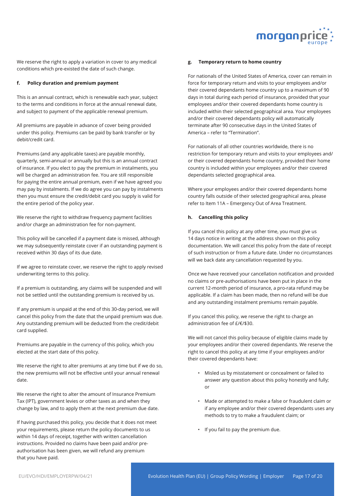

We reserve the right to apply a variation in cover to any medical conditions which pre-existed the date of such change.

#### **f. Policy duration and premium payment**

This is an annual contract, which is renewable each year, subject to the terms and conditions in force at the annual renewal date, and subject to payment of the applicable renewal premium.

All premiums are payable in advance of cover being provided under this policy. Premiums can be paid by bank transfer or by debit/credit card.

Premiums (and any applicable taxes) are payable monthly, quarterly, semi-annual or annually but this is an annual contract of insurance. If you elect to pay the premium in instalments, you will be charged an administration fee. You are still responsible for paying the entire annual premium, even if we have agreed you may pay by instalments. If we do agree you can pay by instalments then you must ensure the credit/debit card you supply is valid for the entire period of the policy year.

We reserve the right to withdraw frequency payment facilities and/or charge an administration fee for non-payment.

This policy will be cancelled if a payment date is missed, although we may subsequently reinstate cover if an outstanding payment is received within 30 days of its due date.

If we agree to reinstate cover, we reserve the right to apply revised underwriting terms to this policy.

If a premium is outstanding, any claims will be suspended and will not be settled until the outstanding premium is received by us.

If any premium is unpaid at the end of this 30-day period, we will cancel this policy from the date that the unpaid premium was due. Any outstanding premium will be deducted from the credit/debit card supplied.

Premiums are payable in the currency of this policy, which you elected at the start date of this policy.

We reserve the right to alter premiums at any time but if we do so. the new premiums will not be effective until your annual renewal date.

We reserve the right to alter the amount of Insurance Premium Tax (IPT), government levies or other taxes as and when they change by law, and to apply them at the next premium due date.

If having purchased this policy, you decide that it does not meet your requirements, please return the policy documents to us within 14 days of receipt, together with written cancellation instructions. Provided no claims have been paid and/or preauthorisation has been given, we will refund any premium that you have paid.

#### **g. Temporary return to home country**

For nationals of the United States of America, cover can remain in force for temporary return and visits to your employees and/or their covered dependants home country up to a maximum of 90 days in total during each period of insurance, provided that your employees and/or their covered dependants home country is included within their selected geographical area. Your employees and/or their covered dependants policy will automatically terminate after 90 consecutive days in the United States of America – refer to "Termination".

For nationals of all other countries worldwide, there is no restriction for temporary return and visits to your employees and/ or their covered dependants home country, provided their home country is included within your employees and/or their covered dependants selected geographical area.

Where your employees and/or their covered dependants home country falls outside of their selected geographical area, please refer to Item 11A – Emergency Out of Area Treatment.

#### **h. Cancelling this policy**

If you cancel this policy at any other time, you must give us 14 days notice in writing at the address shown on this policy documentation. We will cancel this policy from the date of receipt of such instruction or from a future date. Under no circumstances will we back date any cancellation requested by you.

Once we have received your cancellation notification and provided no claims or pre-authorisations have been put in place in the current 12-month period of insurance, a pro-rata refund may be applicable. If a claim has been made, then no refund will be due and any outstanding instalment premiums remain payable.

If you cancel this policy, we reserve the right to charge an administration fee of £/€/\$30.

We will not cancel this policy because of eligible claims made by your employees and/or their covered dependants. We reserve the right to cancel this policy at any time if your employees and/or their covered dependants have:

- Misled us by misstatement or concealment or failed to answer any question about this policy honestly and fully; or
- Made or attempted to make a false or fraudulent claim or if any employee and/or their covered dependants uses any methods to try to make a fraudulent claim; or
- If you fail to pay the premium due.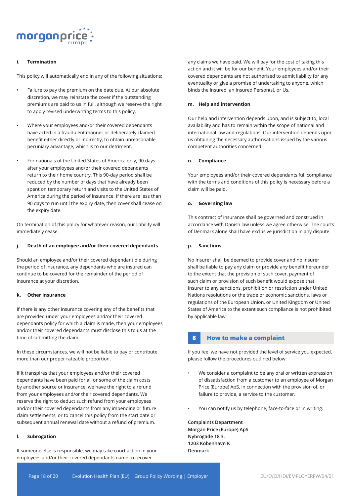

## **i. Termination**

This policy will automatically end in any of the following situations:

- Failure to pay the premium on the date due. At our absolute discretion, we may reinstate the cover if the outstanding premiums are paid to us in full, although we reserve the right to apply revised underwriting terms to this policy.
- Where your employees and/or their covered dependants have acted in a fraudulent manner or deliberately claimed benefit either directly or indirectly, to obtain unreasonable pecuniary advantage, which is to our detriment.
- For nationals of the United States of America only, 90 days after your employees and/or their covered dependants return to their home country. This 90-day period shall be reduced by the number of days that have already been spent on temporary return and visits to the United States of America during the period of insurance. If there are less than 90 days to run until the expiry date, then cover shall cease on the expiry date.

On termination of this policy for whatever reason, our liability will immediately cease.

#### **j. Death of an employee and/or their covered dependants**

Should an employee and/or their covered dependant die during the period of insurance, any dependants who are insured can continue to be covered for the remainder of the period of insurance at your discretion.

## **k. Other insurance**

If there is any other insurance covering any of the benefits that are provided under your employees and/or their covered dependants policy for which a claim is made, then your employees and/or their covered dependants must disclose this to us at the time of submitting the claim.

In these circumstances, we will not be liable to pay or contribute more than our proper rateable proportion.

If it transpires that your employees and/or their covered dependants have been paid for all or some of the claim costs by another source or insurance, we have the right to a refund from your employees and/or their covered dependants. We reserve the right to deduct such refund from your employees and/or their covered dependants from any impending or future claim settlements, or to cancel this policy from the start date or subsequent annual renewal date without a refund of premium.

## **l. Subrogation**

If someone else is responsible, we may take court action in your employees and/or their covered dependants name to recover

any claims we have paid. We will pay for the cost of taking this action and it will be for our benefit. Your employees and/or their covered dependants are not authorised to admit liability for any eventuality or give a promise of undertaking to anyone, which binds the Insured, an Insured Person(s), or Us.

#### **m. Help and intervention**

Our help and intervention depends upon, and is subject to, local availability and has to remain within the scope of national and international law and regulations. Our intervention depends upon us obtaining the necessary authorisations issued by the various competent authorities concerned.

#### **n. Compliance**

Your employees and/or their covered dependants full compliance with the terms and conditions of this policy is necessary before a claim will be paid.

#### **o. Governing law**

This contract of insurance shall be governed and construed in accordance with Danish law unless we agree otherwise. The courts of Denmark alone shall have exclusive jurisdiction in any dispute.

#### **p. Sanctions**

No insurer shall be deemed to provide cover and no insurer shall be liable to pay any claim or provide any benefit hereunder to the extent that the provision of such cover, payment of such claim or provision of such benefit would expose that insurer to any sanctions, prohibition or restriction under United Nations resolutions or the trade or economic sanctions, laws or regulations of the European Union, or United Kingdom or United States of America to the extent such compliance is not prohibited by applicable law.

## **8 How to make a complaint**

If you feel we have not provided the level of service you expected, please follow the procedures outlined below:

- We consider a complaint to be any oral or written expression of dissatisfaction from a customer to an employee of Morgan Price (Europe) ApS, in connection with the provision of, or failure to provide, a service to the customer.
- You can notify us by telephone, face-to-face or in writing.

**Complaints Department Morgan Price (Europe) ApS Nybrogade 18 3. 1203 Kobenhavn K Denmark**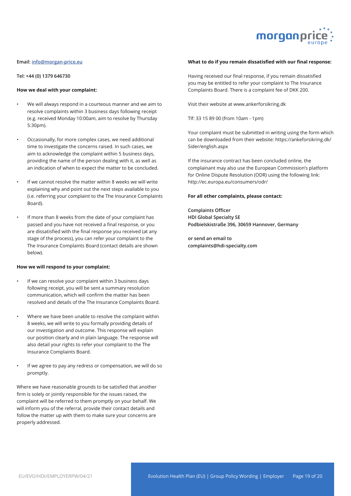

#### **Email: info@morgan-price.eu**

**Tel: +44 (0) 1379 646730**

#### **How we deal with your complaint:**

- We will always respond in a courteous manner and we aim to resolve complaints within 3 business days following receipt (e.g. received Monday 10:00am, aim to resolve by Thursday 5:30pm).
- Occasionally, for more complex cases, we need additional time to investigate the concerns raised. In such cases, we aim to acknowledge the complaint within 5 business days, providing the name of the person dealing with it, as well as an indication of when to expect the matter to be concluded.
- If we cannot resolve the matter within 8 weeks we will write explaining why and point out the next steps available to you (i.e. referring your complaint to the The Insurance Complaints Board).
- If more than 8 weeks from the date of your complaint has passed and you have not received a final response, or you are dissatisfied with the final response you received (at any stage of the process), you can refer your complaint to the The Insurance Complaints Board (contact details are shown below).

## **How we will respond to your complaint:**

- If we can resolve your complaint within 3 business days following receipt, you will be sent a summary resolution communication, which will confirm the matter has been resolved and details of the The Insurance Complaints Board.
- Where we have been unable to resolve the complaint within 8 weeks, we will write to you formally providing details of our investigation and outcome. This response will explain our position clearly and in plain language. The response will also detail your rights to refer your complaint to the The Insurance Complaints Board.
- If we agree to pay any redress or compensation, we will do so promptly.

Where we have reasonable grounds to be satisfied that another firm is solely or jointly responsible for the issues raised, the complaint will be referred to them promptly on your behalf. We will inform you of the referral, provide their contact details and follow the matter up with them to make sure your concerns are properly addressed.

#### **What to do if you remain dissatisfied with our final response:**

Having received our final response, if you remain dissatisfied you may be entitled to refer your complaint to The Insurance Complaints Board. There is a complaint fee of DKK 200.

Visit their website at www.ankerforsikring.dk

Tlf: 33 15 89 00 (from 10am - 1pm)

Your complaint must be submitted in writing using the form which can be downloaded from their website: https://ankeforsikring.dk/ Sider/english.aspx

If the insurance contract has been concluded online, the complainant may also use the European Commission's platform for Online Dispute Resolution (ODR) using the following link: http://ec.europa.eu/consumers/odr/

#### **For all other complaints, please contact:**

**Complaints Officer HDI Global Specialty SE Podbielskistraße 396, 30659 Hannover, Germany**

**or send an email to complaints@hdi-specialty.com**